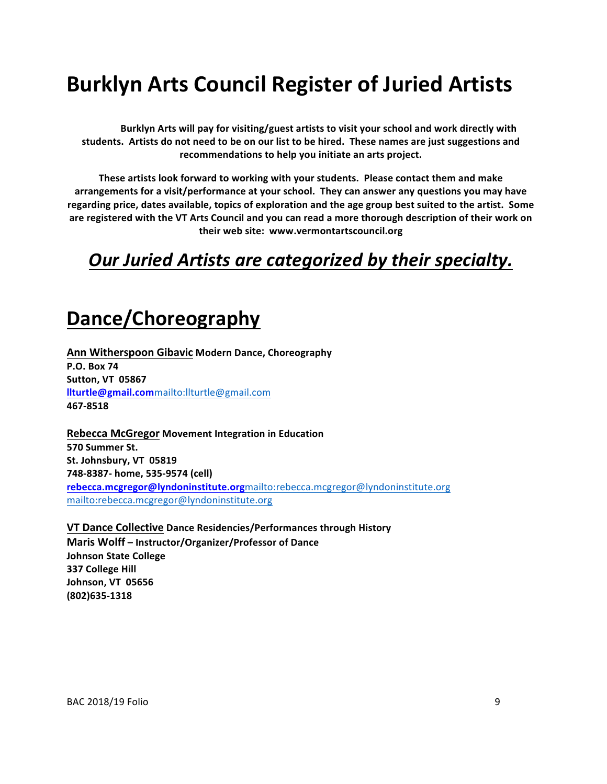# **Burklyn Arts Council Register of Juried Artists**

Burklyn Arts will pay for visiting/guest artists to visit your school and work directly with students. Artists do not need to be on our list to be hired. These names are just suggestions and recommendations to help you initiate an arts project.

These artists look forward to working with your students. Please contact them and make arrangements for a visit/performance at your school. They can answer any questions you may have regarding price, dates available, topics of exploration and the age group best suited to the artist. Some are registered with the VT Arts Council and you can read a more thorough description of their work on their web site: www.vermontartscouncil.org

#### **Our Juried Artists are categorized by their specialty.**

## **Dance/Choreography**

**Ann Witherspoon Gibavic Modern Dance, Choreography P.O. Box 74 Sutton, VT 05867 llturtle@gmail.com**mailto:llturtle@gmail.com **467-8518**

**Rebecca McGregor Movement Integration in Education 570 Summer St.** St. Johnsbury, VT 05819 **748-8387- home, 535-9574 (cell) rebecca.mcgregor@lyndoninstitute.org**mailto:rebecca.mcgregor@lyndoninstitute.org mailto:rebecca.mcgregor@lyndoninstitute.org

**VT Dance Collective Dance Residencies/Performances through History Maris Wolff – Instructor/Organizer/Professor of Dance Johnson State College 337 College Hill Johnson, VT 05656 (802)635-1318**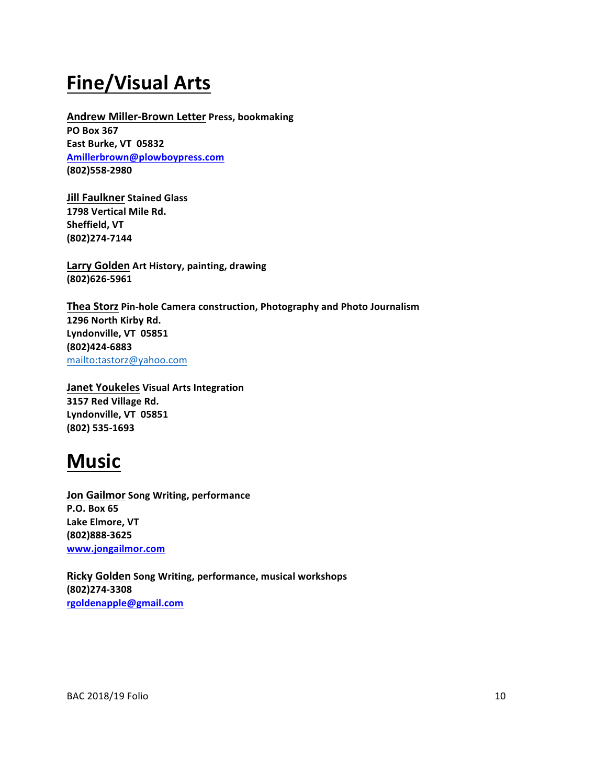### **Fine/Visual Arts**

**Andrew Miller-Brown Letter Press, bookmaking PO Box 367 East Burke, VT 05832 Amillerbrown@plowboypress.com (802)558-2980**

**Jill Faulkner Stained Glass 1798 Vertical Mile Rd. Sheffield, VT (802)274-7144**

**Larry Golden Art History, painting, drawing (802)626-5961**

**Thea Storz Pin-hole Camera construction, Photography and Photo Journalism** 1296 North Kirby Rd. Lyndonville, VT 05851 **(802)424-6883** mailto:tastorz@yahoo.com

**Janet Youkeles Visual Arts Integration 3157 Red Village Rd.** Lyndonville, VT 05851 **(802) 535-1693**

#### **Music**

**Jon Gailmor Song Writing, performance P.O. Box 65** Lake Elmore, VT **(802)888-3625 www.jongailmor.com**

**Ricky Golden** Song Writing, performance, musical workshops **(802)274-3308 rgoldenapple@gmail.com**